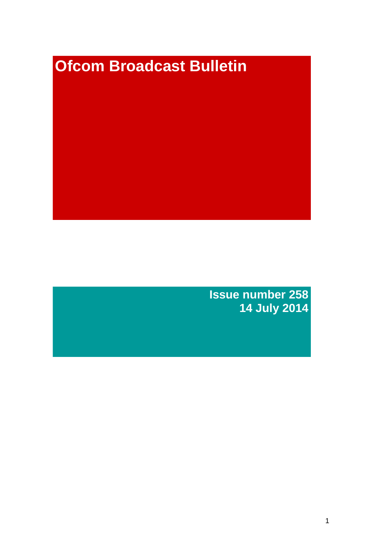# **Ofcom Broadcast Bulletin**

**Issue number 258 14 July 2014**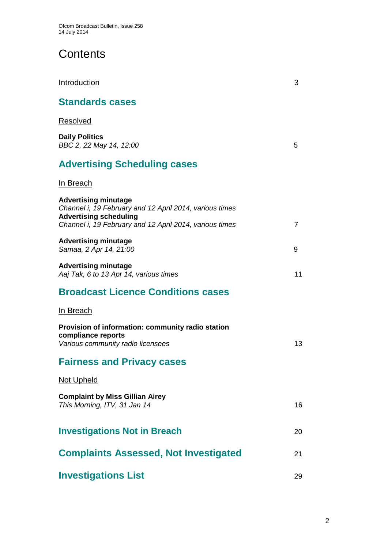# **Contents**

| Introduction                                                                                                                                                                       | 3              |
|------------------------------------------------------------------------------------------------------------------------------------------------------------------------------------|----------------|
| <b>Standards cases</b>                                                                                                                                                             |                |
| Resolved                                                                                                                                                                           |                |
| <b>Daily Politics</b><br>BBC 2, 22 May 14, 12:00                                                                                                                                   | 5              |
| <b>Advertising Scheduling cases</b>                                                                                                                                                |                |
| <u>In Breach</u>                                                                                                                                                                   |                |
| <b>Advertising minutage</b><br>Channel i, 19 February and 12 April 2014, various times<br><b>Advertising scheduling</b><br>Channel i, 19 February and 12 April 2014, various times | $\overline{7}$ |
| <b>Advertising minutage</b><br>Samaa, 2 Apr 14, 21:00                                                                                                                              | 9              |
| <b>Advertising minutage</b><br>Aaj Tak, 6 to 13 Apr 14, various times                                                                                                              | 11             |
| <b>Broadcast Licence Conditions cases</b>                                                                                                                                          |                |
| In Breach                                                                                                                                                                          |                |
| Provision of information: community radio station<br>compliance reports<br>Various community radio licensees                                                                       | 13             |
| <b>Fairness and Privacy cases</b>                                                                                                                                                  |                |
| <b>Not Upheld</b>                                                                                                                                                                  |                |
| <b>Complaint by Miss Gillian Airey</b><br>This Morning, ITV, 31 Jan 14                                                                                                             | 16             |
| <b>Investigations Not in Breach</b>                                                                                                                                                | 20             |
| <b>Complaints Assessed, Not Investigated</b>                                                                                                                                       | 21             |
| <b>Investigations List</b>                                                                                                                                                         | 29             |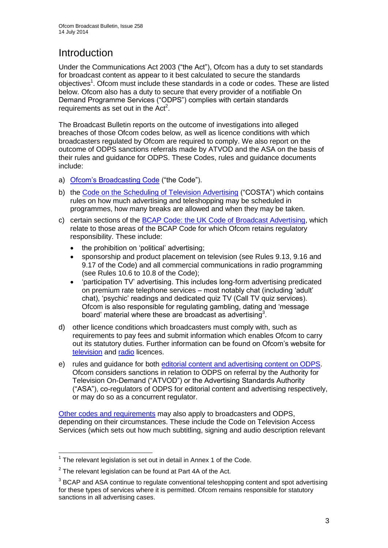# **Introduction**

Under the Communications Act 2003 ("the Act"), Ofcom has a duty to set standards for broadcast content as appear to it best calculated to secure the standards objectives<sup>1</sup>. Ofcom must include these standards in a code or codes. These are listed below. Ofcom also has a duty to secure that every provider of a notifiable On Demand Programme Services ("ODPS") complies with certain standards requirements as set out in the  $Act<sup>2</sup>$ .

The Broadcast Bulletin reports on the outcome of investigations into alleged breaches of those Ofcom codes below, as well as licence conditions with which broadcasters regulated by Ofcom are required to comply. We also report on the outcome of ODPS sanctions referrals made by ATVOD and the ASA on the basis of their rules and guidance for ODPS. These Codes, rules and guidance documents include:

- a) [Ofcom's Broadcasting Code](http://stakeholders.ofcom.org.uk/broadcasting/broadcast-codes/broadcast-code/) ("the Code").
- b) the [Code on the Scheduling of Television Advertising](http://stakeholders.ofcom.org.uk/broadcasting/broadcast-codes/advert-code/) ("COSTA") which contains rules on how much advertising and teleshopping may be scheduled in programmes, how many breaks are allowed and when they may be taken.
- c) certain sections of the [BCAP Code: the UK Code of Broadcast Advertising,](http://www.bcap.org.uk/Advertising-Codes/Broadcast-HTML.aspx) which relate to those areas of the BCAP Code for which Ofcom retains regulatory responsibility. These include:
	- the prohibition on 'political' advertising:
	- sponsorship and product placement on television (see Rules 9.13, 9.16 and 9.17 of the Code) and all commercial communications in radio programming (see Rules 10.6 to 10.8 of the Code);
	- 'participation TV' advertising. This includes long-form advertising predicated on premium rate telephone services – most notably chat (including 'adult' chat), 'psychic' readings and dedicated quiz TV (Call TV quiz services). Ofcom is also responsible for regulating gambling, dating and 'message board' material where these are broadcast as advertising<sup>3</sup>.
- d) other licence conditions which broadcasters must comply with, such as requirements to pay fees and submit information which enables Ofcom to carry out its statutory duties. Further information can be found on Ofcom's website for [television](http://licensing.ofcom.org.uk/tv-broadcast-licences/) and [radio](http://licensing.ofcom.org.uk/radio-broadcast-licensing/) licences.
- e) rules and guidance for both [editorial content and advertising content on ODPS.](http://www.atvod.co.uk/uploads/files/ATVOD_Rules_and_Guidance_Ed_2.0_May_2012.pdf) Ofcom considers sanctions in relation to ODPS on referral by the Authority for Television On-Demand ("ATVOD") or the Advertising Standards Authority ("ASA"), co-regulators of ODPS for editorial content and advertising respectively, or may do so as a concurrent regulator.

[Other codes and requirements](http://stakeholders.ofcom.org.uk/broadcasting/broadcast-codes/) may also apply to broadcasters and ODPS, depending on their circumstances. These include the Code on Television Access Services (which sets out how much subtitling, signing and audio description relevant

<sup>1</sup>  $1$  The relevant legislation is set out in detail in Annex 1 of the Code.

 $2$  The relevant legislation can be found at Part 4A of the Act.

 $3$  BCAP and ASA continue to regulate conventional teleshopping content and spot advertising for these types of services where it is permitted. Ofcom remains responsible for statutory sanctions in all advertising cases.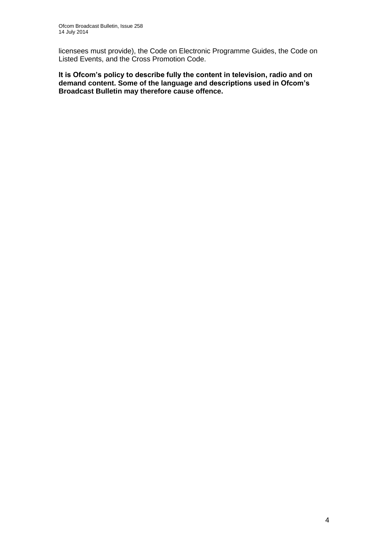licensees must provide), the Code on Electronic Programme Guides, the Code on Listed Events, and the Cross Promotion Code.

**It is Ofcom's policy to describe fully the content in television, radio and on demand content. Some of the language and descriptions used in Ofcom's Broadcast Bulletin may therefore cause offence.**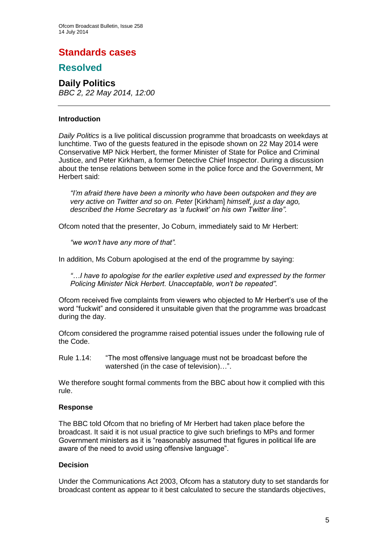## **Standards cases**

## **Resolved**

## **Daily Politics** *BBC 2, 22 May 2014, 12:00*

#### **Introduction**

*Daily Politics* is a live political discussion programme that broadcasts on weekdays at lunchtime. Two of the guests featured in the episode shown on 22 May 2014 were Conservative MP Nick Herbert, the former Minister of State for Police and Criminal Justice, and Peter Kirkham, a former Detective Chief Inspector. During a discussion about the tense relations between some in the police force and the Government, Mr Herbert said:

*"I'm afraid there have been a minority who have been outspoken and they are very active on Twitter and so on. Peter* [Kirkham] *himself, just a day ago, described the Home Secretary as 'a fuckwit' on his own Twitter line".* 

Ofcom noted that the presenter, Jo Coburn, immediately said to Mr Herbert:

*"we won't have any more of that".* 

In addition, Ms Coburn apologised at the end of the programme by saying:

*"…I have to apologise for the earlier expletive used and expressed by the former Policing Minister Nick Herbert. Unacceptable, won't be repeated".*

Ofcom received five complaints from viewers who objected to Mr Herbert's use of the word "fuckwit" and considered it unsuitable given that the programme was broadcast during the day.

Ofcom considered the programme raised potential issues under the following rule of the Code.

Rule 1.14: "The most offensive language must not be broadcast before the watershed (in the case of television)…".

We therefore sought formal comments from the BBC about how it complied with this rule.

## **Response**

The BBC told Ofcom that no briefing of Mr Herbert had taken place before the broadcast. It said it is not usual practice to give such briefings to MPs and former Government ministers as it is "reasonably assumed that figures in political life are aware of the need to avoid using offensive language".

## **Decision**

Under the Communications Act 2003, Ofcom has a statutory duty to set standards for broadcast content as appear to it best calculated to secure the standards objectives,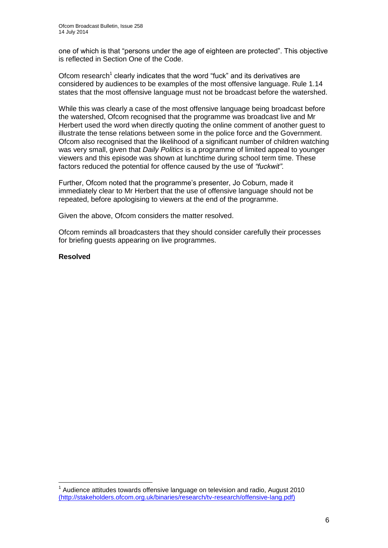one of which is that "persons under the age of eighteen are protected". This objective is reflected in Section One of the Code.

Ofcom research<sup>1</sup> clearly indicates that the word "fuck" and its derivatives are considered by audiences to be examples of the most offensive language. Rule 1.14 states that the most offensive language must not be broadcast before the watershed.

While this was clearly a case of the most offensive language being broadcast before the watershed, Ofcom recognised that the programme was broadcast live and Mr Herbert used the word when directly quoting the online comment of another guest to illustrate the tense relations between some in the police force and the Government. Ofcom also recognised that the likelihood of a significant number of children watching was very small, given that *Daily Politics* is a programme of limited appeal to younger viewers and this episode was shown at lunchtime during school term time. These factors reduced the potential for offence caused by the use of *"fuckwit"*.

Further, Ofcom noted that the programme's presenter, Jo Coburn, made it immediately clear to Mr Herbert that the use of offensive language should not be repeated, before apologising to viewers at the end of the programme.

Given the above, Ofcom considers the matter resolved.

Ofcom reminds all broadcasters that they should consider carefully their processes for briefing guests appearing on live programmes.

**Resolved**

1

 $1$  Audience attitudes towards offensive language on television and radio, August 2010 [\(http://stakeholders.ofcom.org.uk/binaries/research/tv-research/offensive-lang.pdf\)](file:///C:/Users/Trevor.Barnes/AppData/Local/Microsoft/Windows/Temporary%20Internet%20Files/Content.Outlook/9HM4UPNM/(http:/stakeholders.ofcom.org.uk/binaries/research/tv-research/offensive-lang.pdf))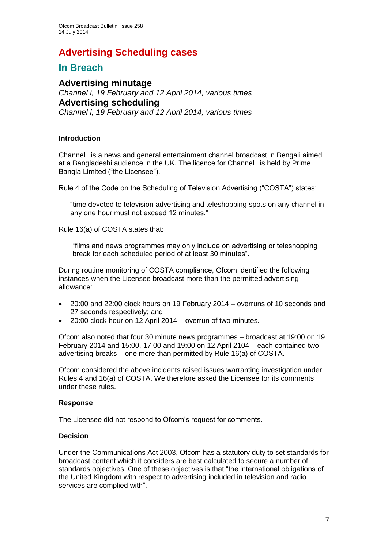# **Advertising Scheduling cases**

## **In Breach**

**Advertising minutage** *Channel i, 19 February and 12 April 2014, various times* **Advertising scheduling** *Channel i, 19 February and 12 April 2014, various times*

## **Introduction**

Channel i is a news and general entertainment channel broadcast in Bengali aimed at a Bangladeshi audience in the UK. The licence for Channel i is held by Prime Bangla Limited ("the Licensee").

Rule 4 of the Code on the Scheduling of Television Advertising ("COSTA") states:

"time devoted to television advertising and teleshopping spots on any channel in any one hour must not exceed 12 minutes."

Rule 16(a) of COSTA states that:

"films and news programmes may only include on advertising or teleshopping break for each scheduled period of at least 30 minutes".

During routine monitoring of COSTA compliance, Ofcom identified the following instances when the Licensee broadcast more than the permitted advertising allowance:

- 20:00 and 22:00 clock hours on 19 February 2014 overruns of 10 seconds and 27 seconds respectively; and
- 20:00 clock hour on 12 April 2014 overrun of two minutes.

Ofcom also noted that four 30 minute news programmes – broadcast at 19:00 on 19 February 2014 and 15:00, 17:00 and 19:00 on 12 April 2104 – each contained two advertising breaks – one more than permitted by Rule 16(a) of COSTA.

Ofcom considered the above incidents raised issues warranting investigation under Rules 4 and 16(a) of COSTA. We therefore asked the Licensee for its comments under these rules.

## **Response**

The Licensee did not respond to Ofcom's request for comments.

## **Decision**

Under the Communications Act 2003, Ofcom has a statutory duty to set standards for broadcast content which it considers are best calculated to secure a number of standards objectives. One of these objectives is that "the international obligations of the United Kingdom with respect to advertising included in television and radio services are complied with".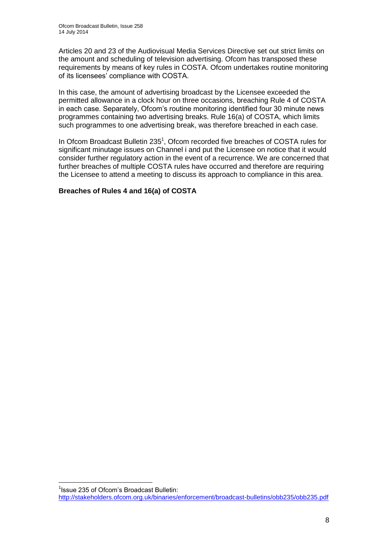Articles 20 and 23 of the Audiovisual Media Services Directive set out strict limits on the amount and scheduling of television advertising. Ofcom has transposed these requirements by means of key rules in COSTA. Ofcom undertakes routine monitoring of its licensees' compliance with COSTA.

In this case, the amount of advertising broadcast by the Licensee exceeded the permitted allowance in a clock hour on three occasions, breaching Rule 4 of COSTA in each case. Separately, Ofcom's routine monitoring identified four 30 minute news programmes containing two advertising breaks. Rule 16(a) of COSTA, which limits such programmes to one advertising break, was therefore breached in each case.

In Ofcom Broadcast Bulletin 235<sup>1</sup>, Ofcom recorded five breaches of COSTA rules for significant minutage issues on Channel i and put the Licensee on notice that it would consider further regulatory action in the event of a recurrence. We are concerned that further breaches of multiple COSTA rules have occurred and therefore are requiring the Licensee to attend a meeting to discuss its approach to compliance in this area.

## **Breaches of Rules 4 and 16(a) of COSTA**

1

<sup>&</sup>lt;sup>1</sup> Issue 235 of Ofcom's Broadcast Bulletin: <http://stakeholders.ofcom.org.uk/binaries/enforcement/broadcast-bulletins/obb235/obb235.pdf>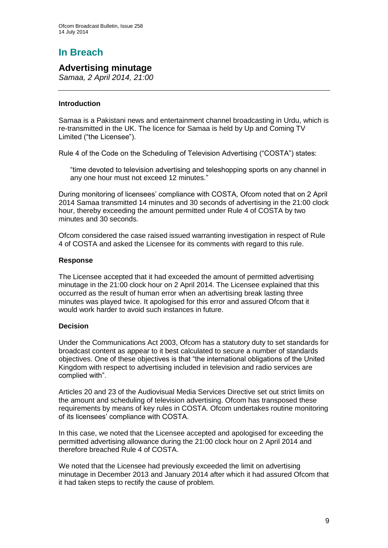# **In Breach**

## **Advertising minutage**

*Samaa, 2 April 2014, 21:00*

## **Introduction**

Samaa is a Pakistani news and entertainment channel broadcasting in Urdu, which is re-transmitted in the UK. The licence for Samaa is held by Up and Coming TV Limited ("the Licensee").

Rule 4 of the Code on the Scheduling of Television Advertising ("COSTA") states:

"time devoted to television advertising and teleshopping sports on any channel in any one hour must not exceed 12 minutes."

During monitoring of licensees' compliance with COSTA, Ofcom noted that on 2 April 2014 Samaa transmitted 14 minutes and 30 seconds of advertising in the 21:00 clock hour, thereby exceeding the amount permitted under Rule 4 of COSTA by two minutes and 30 seconds.

Ofcom considered the case raised issued warranting investigation in respect of Rule 4 of COSTA and asked the Licensee for its comments with regard to this rule.

## **Response**

The Licensee accepted that it had exceeded the amount of permitted advertising minutage in the 21:00 clock hour on 2 April 2014. The Licensee explained that this occurred as the result of human error when an advertising break lasting three minutes was played twice. It apologised for this error and assured Ofcom that it would work harder to avoid such instances in future.

## **Decision**

Under the Communications Act 2003, Ofcom has a statutory duty to set standards for broadcast content as appear to it best calculated to secure a number of standards objectives. One of these objectives is that "the international obligations of the United Kingdom with respect to advertising included in television and radio services are complied with".

Articles 20 and 23 of the Audiovisual Media Services Directive set out strict limits on the amount and scheduling of television advertising. Ofcom has transposed these requirements by means of key rules in COSTA. Ofcom undertakes routine monitoring of its licensees' compliance with COSTA.

In this case, we noted that the Licensee accepted and apologised for exceeding the permitted advertising allowance during the 21:00 clock hour on 2 April 2014 and therefore breached Rule 4 of COSTA.

We noted that the Licensee had previously exceeded the limit on advertising minutage in December 2013 and January 2014 after which it had assured Ofcom that it had taken steps to rectify the cause of problem.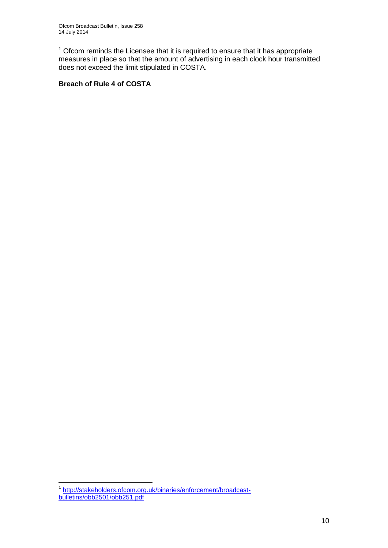$1$  Ofcom reminds the Licensee that it is required to ensure that it has appropriate measures in place so that the amount of advertising in each clock hour transmitted does not exceed the limit stipulated in COSTA.

## **Breach of Rule 4 of COSTA**

 1 [http://stakeholders.ofcom.org.uk/binaries/enforcement/broadcast](http://stakeholders.ofcom.org.uk/binaries/enforcement/broadcast-bulletins/obb2501/obb251.pdf)[bulletins/obb2501/obb251.pdf](http://stakeholders.ofcom.org.uk/binaries/enforcement/broadcast-bulletins/obb2501/obb251.pdf)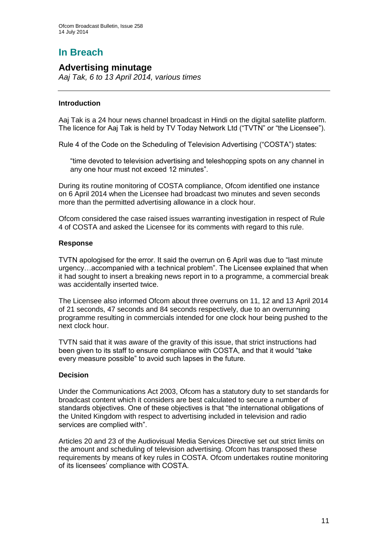# **In Breach**

## **Advertising minutage**

*Aaj Tak, 6 to 13 April 2014, various times*

## **Introduction**

Aaj Tak is a 24 hour news channel broadcast in Hindi on the digital satellite platform. The licence for Aaj Tak is held by TV Today Network Ltd ("TVTN" or "the Licensee").

Rule 4 of the Code on the Scheduling of Television Advertising ("COSTA") states:

"time devoted to television advertising and teleshopping spots on any channel in any one hour must not exceed 12 minutes".

During its routine monitoring of COSTA compliance, Ofcom identified one instance on 6 April 2014 when the Licensee had broadcast two minutes and seven seconds more than the permitted advertising allowance in a clock hour.

Ofcom considered the case raised issues warranting investigation in respect of Rule 4 of COSTA and asked the Licensee for its comments with regard to this rule.

## **Response**

TVTN apologised for the error. It said the overrun on 6 April was due to "last minute urgency…accompanied with a technical problem". The Licensee explained that when it had sought to insert a breaking news report in to a programme, a commercial break was accidentally inserted twice.

The Licensee also informed Ofcom about three overruns on 11, 12 and 13 April 2014 of 21 seconds, 47 seconds and 84 seconds respectively, due to an overrunning programme resulting in commercials intended for one clock hour being pushed to the next clock hour.

TVTN said that it was aware of the gravity of this issue, that strict instructions had been given to its staff to ensure compliance with COSTA, and that it would "take every measure possible" to avoid such lapses in the future.

## **Decision**

Under the Communications Act 2003, Ofcom has a statutory duty to set standards for broadcast content which it considers are best calculated to secure a number of standards objectives. One of these objectives is that "the international obligations of the United Kingdom with respect to advertising included in television and radio services are complied with".

Articles 20 and 23 of the Audiovisual Media Services Directive set out strict limits on the amount and scheduling of television advertising. Ofcom has transposed these requirements by means of key rules in COSTA. Ofcom undertakes routine monitoring of its licensees' compliance with COSTA.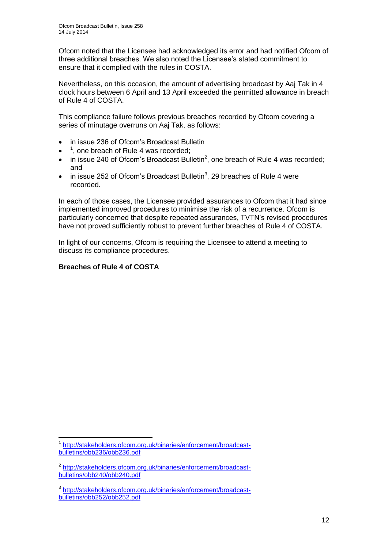Ofcom noted that the Licensee had acknowledged its error and had notified Ofcom of three additional breaches. We also noted the Licensee's stated commitment to ensure that it complied with the rules in COSTA.

Nevertheless, on this occasion, the amount of advertising broadcast by Aaj Tak in 4 clock hours between 6 April and 13 April exceeded the permitted allowance in breach of Rule 4 of COSTA.

This compliance failure follows previous breaches recorded by Ofcom covering a series of minutage overruns on Aaj Tak, as follows:

- in issue 236 of Ofcom's Broadcast Bulletin
- $\bullet$ <sup>1</sup>, one breach of Rule 4 was recorded;
- $\bullet$  in issue 240 of Ofcom's Broadcast Bulletin<sup>2</sup>, one breach of Rule 4 was recorded; and
- $\bullet$  in issue 252 of Ofcom's Broadcast Bulletin<sup>3</sup>, 29 breaches of Rule 4 were recorded.

In each of those cases, the Licensee provided assurances to Ofcom that it had since implemented improved procedures to minimise the risk of a recurrence. Ofcom is particularly concerned that despite repeated assurances, TVTN's revised procedures have not proved sufficiently robust to prevent further breaches of Rule 4 of COSTA.

In light of our concerns, Ofcom is requiring the Licensee to attend a meeting to discuss its compliance procedures.

## **Breaches of Rule 4 of COSTA**

<sup>1</sup> 1 [http://stakeholders.ofcom.org.uk/binaries/enforcement/broadcast](http://stakeholders.ofcom.org.uk/binaries/enforcement/broadcast-bulletins/obb236/obb236.pdf)[bulletins/obb236/obb236.pdf](http://stakeholders.ofcom.org.uk/binaries/enforcement/broadcast-bulletins/obb236/obb236.pdf)

<sup>&</sup>lt;sup>2</sup> [http://stakeholders.ofcom.org.uk/binaries/enforcement/broadcast](http://stakeholders.ofcom.org.uk/binaries/enforcement/broadcast-bulletins/obb240/obb240.pdf)[bulletins/obb240/obb240.pdf](http://stakeholders.ofcom.org.uk/binaries/enforcement/broadcast-bulletins/obb240/obb240.pdf)

<sup>3</sup> [http://stakeholders.ofcom.org.uk/binaries/enforcement/broadcast](http://stakeholders.ofcom.org.uk/binaries/enforcement/broadcast-bulletins/obb252/obb252.pdf)[bulletins/obb252/obb252.pdf](http://stakeholders.ofcom.org.uk/binaries/enforcement/broadcast-bulletins/obb252/obb252.pdf)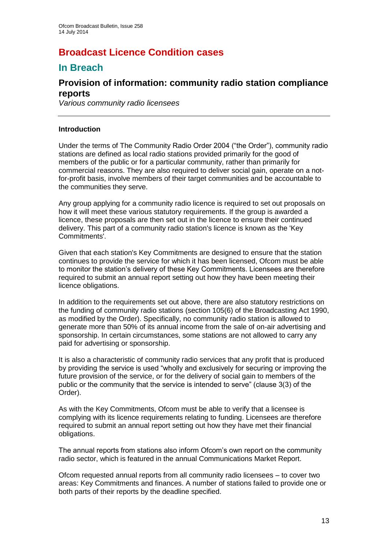# **Broadcast Licence Condition cases**

## **In Breach**

## **Provision of information: community radio station compliance reports**

*Various community radio licensees*

## **Introduction**

Under the terms of The Community Radio Order 2004 ("the Order"), community radio stations are defined as local radio stations provided primarily for the good of members of the public or for a particular community, rather than primarily for commercial reasons. They are also required to deliver social gain, operate on a notfor-profit basis, involve members of their target communities and be accountable to the communities they serve.

Any group applying for a community radio licence is required to set out proposals on how it will meet these various statutory requirements. If the group is awarded a licence, these proposals are then set out in the licence to ensure their continued delivery. This part of a community radio station's licence is known as the 'Key Commitments'.

Given that each station's Key Commitments are designed to ensure that the station continues to provide the service for which it has been licensed, Ofcom must be able to monitor the station's delivery of these Key Commitments. Licensees are therefore required to submit an annual report setting out how they have been meeting their licence obligations.

In addition to the requirements set out above, there are also statutory restrictions on the funding of community radio stations (section 105(6) of the Broadcasting Act 1990, as modified by the Order). Specifically, no community radio station is allowed to generate more than 50% of its annual income from the sale of on-air advertising and sponsorship. In certain circumstances, some stations are not allowed to carry any paid for advertising or sponsorship.

It is also a characteristic of community radio services that any profit that is produced by providing the service is used "wholly and exclusively for securing or improving the future provision of the service, or for the delivery of social gain to members of the public or the community that the service is intended to serve" (clause 3(3) of the Order).

As with the Key Commitments, Ofcom must be able to verify that a licensee is complying with its licence requirements relating to funding. Licensees are therefore required to submit an annual report setting out how they have met their financial obligations.

The annual reports from stations also inform Ofcom's own report on the community radio sector, which is featured in the annual Communications Market Report.

Ofcom requested annual reports from all community radio licensees – to cover two areas: Key Commitments and finances. A number of stations failed to provide one or both parts of their reports by the deadline specified.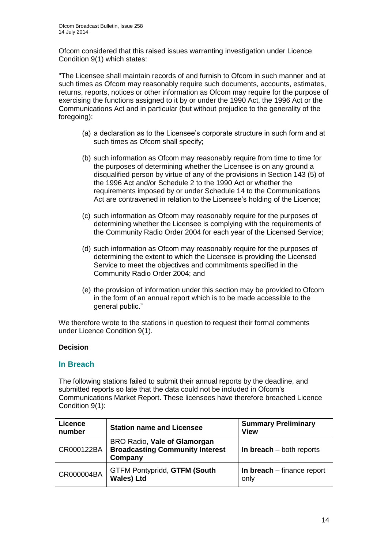Ofcom considered that this raised issues warranting investigation under Licence Condition 9(1) which states:

"The Licensee shall maintain records of and furnish to Ofcom in such manner and at such times as Ofcom may reasonably require such documents, accounts, estimates, returns, reports, notices or other information as Ofcom may require for the purpose of exercising the functions assigned to it by or under the 1990 Act, the 1996 Act or the Communications Act and in particular (but without prejudice to the generality of the foregoing):

- (a) a declaration as to the Licensee's corporate structure in such form and at such times as Ofcom shall specify;
- (b) such information as Ofcom may reasonably require from time to time for the purposes of determining whether the Licensee is on any ground a disqualified person by virtue of any of the provisions in Section 143 (5) of the 1996 Act and/or Schedule 2 to the 1990 Act or whether the requirements imposed by or under Schedule 14 to the Communications Act are contravened in relation to the Licensee's holding of the Licence;
- (c) such information as Ofcom may reasonably require for the purposes of determining whether the Licensee is complying with the requirements of the Community Radio Order 2004 for each year of the Licensed Service;
- (d) such information as Ofcom may reasonably require for the purposes of determining the extent to which the Licensee is providing the Licensed Service to meet the objectives and commitments specified in the Community Radio Order 2004; and
- (e) the provision of information under this section may be provided to Ofcom in the form of an annual report which is to be made accessible to the general public."

We therefore wrote to the stations in question to request their formal comments under Licence Condition 9(1).

## **Decision**

## **In Breach**

The following stations failed to submit their annual reports by the deadline, and submitted reports so late that the data could not be included in Ofcom's Communications Market Report. These licensees have therefore breached Licence Condition 9(1):

| Licence<br>number | <b>Station name and Licensee</b>                                                  | <b>Summary Preliminary</b><br><b>View</b> |
|-------------------|-----------------------------------------------------------------------------------|-------------------------------------------|
| CR000122BA        | BRO Radio, Vale of Glamorgan<br><b>Broadcasting Community Interest</b><br>Company | In breach $-$ both reports                |
| CR000004BA        | <b>GTFM Pontypridd, GTFM (South</b><br><b>Wales) Ltd</b>                          | In breach $-$ finance report<br>only      |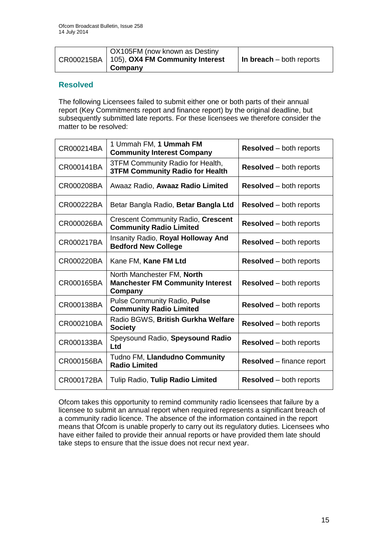| OX105FM (now known as Destiny                              |                                  |
|------------------------------------------------------------|----------------------------------|
| $\vert$ CR000215BA $\vert$ 105), OX4 FM Community Interest | $\vert$ In breach – both reports |
| Company                                                    |                                  |

## **Resolved**

The following Licensees failed to submit either one or both parts of their annual report (Key Commitments report and finance report) by the original deadline, but subsequently submitted late reports. For these licensees we therefore consider the matter to be resolved:

| CR000214BA | 1 Ummah FM, 1 Ummah FM<br><b>Community Interest Company</b>                      | <b>Resolved</b> – both reports   |
|------------|----------------------------------------------------------------------------------|----------------------------------|
| CR000141BA | 3TFM Community Radio for Health,<br><b>3TFM Community Radio for Health</b>       | <b>Resolved</b> – both reports   |
| CR000208BA | Awaaz Radio, Awaaz Radio Limited                                                 | <b>Resolved</b> – both reports   |
| CR000222BA | Betar Bangla Radio, Betar Bangla Ltd                                             | <b>Resolved</b> – both reports   |
| CR000026BA | <b>Crescent Community Radio, Crescent</b><br><b>Community Radio Limited</b>      | <b>Resolved</b> – both reports   |
| CR000217BA | Insanity Radio, Royal Holloway And<br><b>Bedford New College</b>                 | <b>Resolved</b> – both reports   |
| CR000220BA | Kane FM, Kane FM Ltd                                                             | <b>Resolved</b> – both reports   |
| CR000165BA | North Manchester FM, North<br><b>Manchester FM Community Interest</b><br>Company | <b>Resolved</b> – both reports   |
| CR000138BA | Pulse Community Radio, Pulse<br><b>Community Radio Limited</b>                   | <b>Resolved</b> – both reports   |
| CR000210BA | Radio BGWS, British Gurkha Welfare<br><b>Society</b>                             | <b>Resolved</b> – both reports   |
| CR000133BA | Speysound Radio, Speysound Radio<br>Ltd                                          | <b>Resolved</b> – both reports   |
| CR000156BA | Tudno FM, Llandudno Community<br><b>Radio Limited</b>                            | <b>Resolved</b> – finance report |
| CR000172BA | Tulip Radio, Tulip Radio Limited                                                 | <b>Resolved</b> – both reports   |

Ofcom takes this opportunity to remind community radio licensees that failure by a licensee to submit an annual report when required represents a significant breach of a community radio licence. The absence of the information contained in the report means that Ofcom is unable properly to carry out its regulatory duties. Licensees who have either failed to provide their annual reports or have provided them late should take steps to ensure that the issue does not recur next year.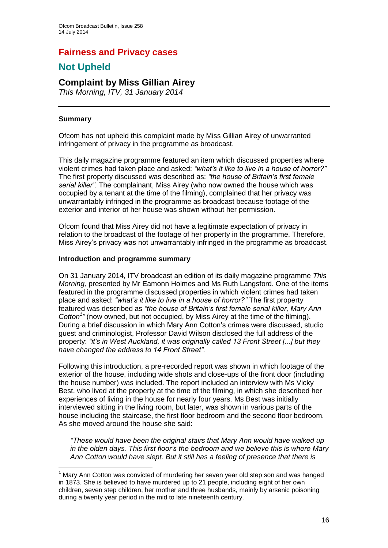## **Fairness and Privacy cases**

# **Not Upheld**

## **Complaint by Miss Gillian Airey**

*This Morning, ITV, 31 January 2014*

## **Summary**

1

Ofcom has not upheld this complaint made by Miss Gillian Airey of unwarranted infringement of privacy in the programme as broadcast.

This daily magazine programme featured an item which discussed properties where violent crimes had taken place and asked: *"what's it like to live in a house of horror?"* The first property discussed was described as: *"the house of Britain's first female serial killer".* The complainant, Miss Airey (who now owned the house which was occupied by a tenant at the time of the filming), complained that her privacy was unwarrantably infringed in the programme as broadcast because footage of the exterior and interior of her house was shown without her permission.

Ofcom found that Miss Airey did not have a legitimate expectation of privacy in relation to the broadcast of the footage of her property in the programme. Therefore, Miss Airey's privacy was not unwarrantably infringed in the programme as broadcast.

## **Introduction and programme summary**

On 31 January 2014, ITV broadcast an edition of its daily magazine programme *This Morning,* presented by Mr Eamonn Holmes and Ms Ruth Langsford. One of the items featured in the programme discussed properties in which violent crimes had taken place and asked: *"what's it like to live in a house of horror?"* The first property featured was described as *"the house of Britain's first female serial killer, Mary Ann*  Cotton<sup>1</sup><sup>"</sup> (now owned, but not occupied, by Miss Airey at the time of the filming). During a brief discussion in which Mary Ann Cotton's crimes were discussed, studio guest and criminologist, Professor David Wilson disclosed the full address of the property: *"it's in West Auckland, it was originally called 13 Front Street [...] but they have changed the address to 14 Front Street".*

Following this introduction, a pre-recorded report was shown in which footage of the exterior of the house, including wide shots and close-ups of the front door (including the house number) was included. The report included an interview with Ms Vicky Best, who lived at the property at the time of the filming, in which she described her experiences of living in the house for nearly four years. Ms Best was initially interviewed sitting in the living room, but later, was shown in various parts of the house including the staircase, the first floor bedroom and the second floor bedroom. As she moved around the house she said:

*"These would have been the original stairs that Mary Ann would have walked up in the olden days. This first floor's the bedroom and we believe this is where Mary Ann Cotton would have slept. But it still has a feeling of presence that there is* 

 $1$  Marv Ann Cotton was convicted of murdering her seven year old step son and was hanged in 1873. She is believed to have murdered up to 21 people, including eight of her own children, seven step children, her mother and three husbands, mainly by arsenic poisoning during a twenty year period in the mid to late nineteenth century.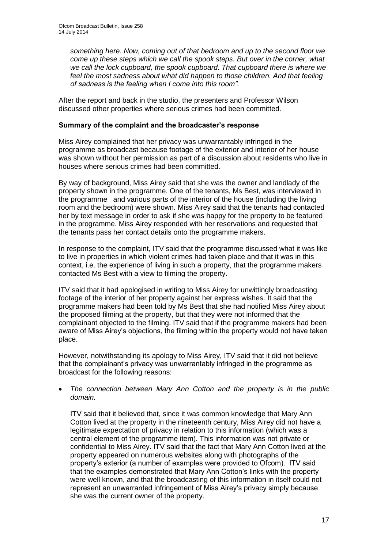*something here. Now, coming out of that bedroom and up to the second floor we come up these steps which we call the spook steps. But over in the corner, what we call the lock cupboard, the spook cupboard. That cupboard there is where we feel the most sadness about what did happen to those children. And that feeling of sadness is the feeling when I come into this room".*

After the report and back in the studio, the presenters and Professor Wilson discussed other properties where serious crimes had been committed.

## **Summary of the complaint and the broadcaster's response**

Miss Airey complained that her privacy was unwarrantably infringed in the programme as broadcast because footage of the exterior and interior of her house was shown without her permission as part of a discussion about residents who live in houses where serious crimes had been committed.

By way of background, Miss Airey said that she was the owner and landlady of the property shown in the programme. One of the tenants, Ms Best, was interviewed in the programme and various parts of the interior of the house (including the living room and the bedroom) were shown. Miss Airey said that the tenants had contacted her by text message in order to ask if she was happy for the property to be featured in the programme. Miss Airey responded with her reservations and requested that the tenants pass her contact details onto the programme makers.

In response to the complaint, ITV said that the programme discussed what it was like to live in properties in which violent crimes had taken place and that it was in this context, i.e. the experience of living in such a property, that the programme makers contacted Ms Best with a view to filming the property.

ITV said that it had apologised in writing to Miss Airey for unwittingly broadcasting footage of the interior of her property against her express wishes. It said that the programme makers had been told by Ms Best that she had notified Miss Airey about the proposed filming at the property, but that they were not informed that the complainant objected to the filming. ITV said that if the programme makers had been aware of Miss Airey's objections, the filming within the property would not have taken place.

However, notwithstanding its apology to Miss Airey, ITV said that it did not believe that the complainant's privacy was unwarrantably infringed in the programme as broadcast for the following reasons:

#### *The connection between Mary Ann Cotton and the property is in the public domain.*

ITV said that it believed that, since it was common knowledge that Mary Ann Cotton lived at the property in the nineteenth century, Miss Airey did not have a legitimate expectation of privacy in relation to this information (which was a central element of the programme item). This information was not private or confidential to Miss Airey. ITV said that the fact that Mary Ann Cotton lived at the property appeared on numerous websites along with photographs of the property's exterior (a number of examples were provided to Ofcom). ITV said that the examples demonstrated that Mary Ann Cotton's links with the property were well known, and that the broadcasting of this information in itself could not represent an unwarranted infringement of Miss Airey's privacy simply because she was the current owner of the property.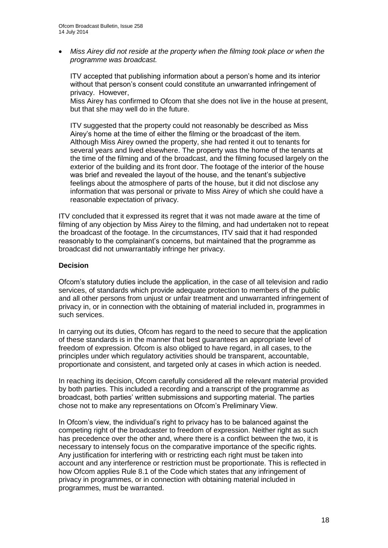*Miss Airey did not reside at the property when the filming took place or when the programme was broadcast.*

ITV accepted that publishing information about a person's home and its interior without that person's consent could constitute an unwarranted infringement of privacy. However,

Miss Airey has confirmed to Ofcom that she does not live in the house at present, but that she may well do in the future.

ITV suggested that the property could not reasonably be described as Miss Airey's home at the time of either the filming or the broadcast of the item. Although Miss Airey owned the property, she had rented it out to tenants for several years and lived elsewhere. The property was the home of the tenants at the time of the filming and of the broadcast, and the filming focused largely on the exterior of the building and its front door. The footage of the interior of the house was brief and revealed the layout of the house, and the tenant's subjective feelings about the atmosphere of parts of the house, but it did not disclose any information that was personal or private to Miss Airey of which she could have a reasonable expectation of privacy.

ITV concluded that it expressed its regret that it was not made aware at the time of filming of any objection by Miss Airey to the filming, and had undertaken not to repeat the broadcast of the footage. In the circumstances, ITV said that it had responded reasonably to the complainant's concerns, but maintained that the programme as broadcast did not unwarrantably infringe her privacy.

#### **Decision**

Ofcom's statutory duties include the application, in the case of all television and radio services, of standards which provide adequate protection to members of the public and all other persons from unjust or unfair treatment and unwarranted infringement of privacy in, or in connection with the obtaining of material included in, programmes in such services.

In carrying out its duties, Ofcom has regard to the need to secure that the application of these standards is in the manner that best guarantees an appropriate level of freedom of expression. Ofcom is also obliged to have regard, in all cases, to the principles under which regulatory activities should be transparent, accountable, proportionate and consistent, and targeted only at cases in which action is needed.

In reaching its decision, Ofcom carefully considered all the relevant material provided by both parties. This included a recording and a transcript of the programme as broadcast, both parties' written submissions and supporting material. The parties chose not to make any representations on Ofcom's Preliminary View.

In Ofcom's view, the individual's right to privacy has to be balanced against the competing right of the broadcaster to freedom of expression. Neither right as such has precedence over the other and, where there is a conflict between the two, it is necessary to intensely focus on the comparative importance of the specific rights. Any justification for interfering with or restricting each right must be taken into account and any interference or restriction must be proportionate. This is reflected in how Ofcom applies Rule 8.1 of the Code which states that any infringement of privacy in programmes, or in connection with obtaining material included in programmes, must be warranted.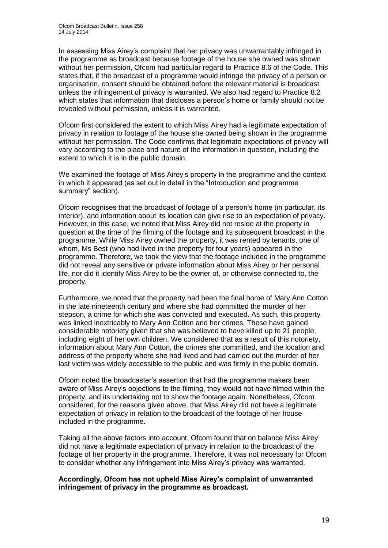In assessing Miss Airey's complaint that her privacy was unwarrantably infringed in the programme as broadcast because footage of the house she owned was shown without her permission, Ofcom had particular regard to Practice 8.6 of the Code. This states that, if the broadcast of a programme would infringe the privacy of a person or organisation, consent should be obtained before the relevant material is broadcast unless the infringement of privacy is warranted. We also had regard to Practice 8.2 which states that information that discloses a person's home or family should not be revealed without permission, unless it is warranted.

Ofcom first considered the extent to which Miss Airey had a legitimate expectation of privacy in relation to footage of the house she owned being shown in the programme without her permission. The Code confirms that legitimate expectations of privacy will vary according to the place and nature of the information in question, including the extent to which it is in the public domain.

We examined the footage of Miss Airey's property in the programme and the context in which it appeared (as set out in detail in the "Introduction and programme summary" section).

Ofcom recognises that the broadcast of footage of a person's home (in particular, its interior), and information about its location can give rise to an expectation of privacy. However, in this case, we noted that Miss Airey did not reside at the property in question at the time of the filming of the footage and its subsequent broadcast in the programme. While Miss Airey owned the property, it was rented by tenants, one of whom, Ms Best (who had lived in the property for four years) appeared in the programme. Therefore, we took the view that the footage included in the programme did not reveal any sensitive or private information about Miss Airey or her personal life, nor did it identify Miss Airey to be the owner of, or otherwise connected to, the property.

Furthermore, we noted that the property had been the final home of Mary Ann Cotton in the late nineteenth century and where she had committed the murder of her stepson, a crime for which she was convicted and executed. As such, this property was linked inextricably to Mary Ann Cotton and her crimes. These have gained considerable notoriety given that she was believed to have killed up to 21 people, including eight of her own children. We considered that as a result of this notoriety, information about Mary Ann Cotton, the crimes she committed, and the location and address of the property where she had lived and had carried out the murder of her last victim was widely accessible to the public and was firmly in the public domain.

Ofcom noted the broadcaster's assertion that had the programme makers been aware of Miss Airey's objections to the filming, they would not have filmed within the property, and its undertaking not to show the footage again. Nonetheless, Ofcom considered, for the reasons given above, that Miss Airey did not have a legitimate expectation of privacy in relation to the broadcast of the footage of her house included in the programme.

Taking all the above factors into account, Ofcom found that on balance Miss Airey did not have a legitimate expectation of privacy in relation to the broadcast of the footage of her property in the programme. Therefore, it was not necessary for Ofcom to consider whether any infringement into Miss Airey's privacy was warranted.

#### **Accordingly, Ofcom has not upheld Miss Airey's complaint of unwarranted infringement of privacy in the programme as broadcast.**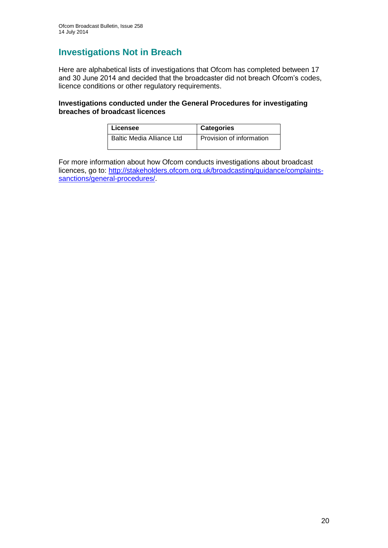## **Investigations Not in Breach**

Here are alphabetical lists of investigations that Ofcom has completed between 17 and 30 June 2014 and decided that the broadcaster did not breach Ofcom's codes, licence conditions or other regulatory requirements.

## **Investigations conducted under the General Procedures for investigating breaches of broadcast licences**

| Licensee                         | <b>Categories</b>        |
|----------------------------------|--------------------------|
| <b>Baltic Media Alliance Ltd</b> | Provision of information |

For more information about how Ofcom conducts investigations about broadcast licences, go to: [http://stakeholders.ofcom.org.uk/broadcasting/guidance/complaints](http://stakeholders.ofcom.org.uk/broadcasting/guidance/complaints-sanctions/general-procedures/)[sanctions/general-procedures/.](http://stakeholders.ofcom.org.uk/broadcasting/guidance/complaints-sanctions/general-procedures/)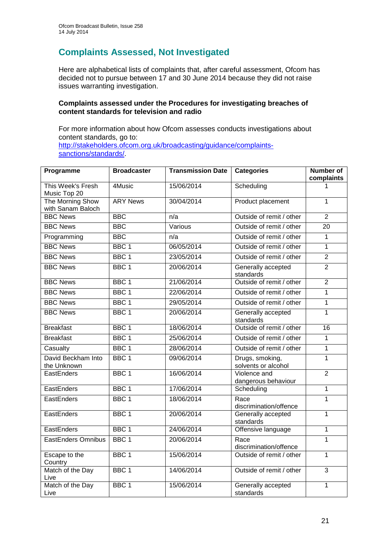## **Complaints Assessed, Not Investigated**

Here are alphabetical lists of complaints that, after careful assessment, Ofcom has decided not to pursue between 17 and 30 June 2014 because they did not raise issues warranting investigation.

## **Complaints assessed under the Procedures for investigating breaches of content standards for television and radio**

For more information about how Ofcom assesses conducts investigations about content standards, go to: [http://stakeholders.ofcom.org.uk/broadcasting/guidance/complaints](http://stakeholders.ofcom.org.uk/broadcasting/guidance/complaints-sanctions/standards/)[sanctions/standards/.](http://stakeholders.ofcom.org.uk/broadcasting/guidance/complaints-sanctions/standards/)

| Programme                             | <b>Broadcaster</b> | <b>Transmission Date</b> | <b>Categories</b>                      | <b>Number of</b><br>complaints |
|---------------------------------------|--------------------|--------------------------|----------------------------------------|--------------------------------|
| This Week's Fresh<br>Music Top 20     | 4Music             | 15/06/2014               | Scheduling                             | 1                              |
| The Morning Show<br>with Sanam Baloch | <b>ARY News</b>    | 30/04/2014               | Product placement                      | $\mathbf{1}$                   |
| <b>BBC News</b>                       | <b>BBC</b>         | n/a                      | Outside of remit / other               | $\overline{2}$                 |
| <b>BBC News</b>                       | <b>BBC</b>         | Various                  | Outside of remit / other               | $\overline{20}$                |
| Programming                           | <b>BBC</b>         | n/a                      | Outside of remit / other               | $\mathbf{1}$                   |
| <b>BBC News</b>                       | BBC <sub>1</sub>   | 06/05/2014               | Outside of remit / other               | 1                              |
| <b>BBC News</b>                       | BBC <sub>1</sub>   | 23/05/2014               | Outside of remit / other               | $\overline{2}$                 |
| <b>BBC News</b>                       | BBC <sub>1</sub>   | 20/06/2014               | Generally accepted<br>standards        | $\overline{2}$                 |
| <b>BBC News</b>                       | BBC <sub>1</sub>   | 21/06/2014               | Outside of remit / other               | $\overline{2}$                 |
| <b>BBC News</b>                       | BBC <sub>1</sub>   | 22/06/2014               | Outside of remit / other               | $\mathbf{1}$                   |
| <b>BBC News</b>                       | BBC <sub>1</sub>   | 29/05/2014               | Outside of remit / other               | $\mathbf{1}$                   |
| <b>BBC News</b>                       | BBC <sub>1</sub>   | 20/06/2014               | Generally accepted<br>standards        | 1                              |
| <b>Breakfast</b>                      | BBC <sub>1</sub>   | 18/06/2014               | Outside of remit / other               | 16                             |
| <b>Breakfast</b>                      | BBC <sub>1</sub>   | 25/06/2014               | Outside of remit / other               | $\mathbf{1}$                   |
| Casualty                              | BBC <sub>1</sub>   | 28/06/2014               | Outside of remit / other               | $\overline{1}$                 |
| David Beckham Into<br>the Unknown     | BBC <sub>1</sub>   | 09/06/2014               | Drugs, smoking,<br>solvents or alcohol | $\overline{1}$                 |
| EastEnders                            | BBC <sub>1</sub>   | 16/06/2014               | Violence and<br>dangerous behaviour    | $\overline{2}$                 |
| EastEnders                            | BBC <sub>1</sub>   | 17/06/2014               | Scheduling                             | 1                              |
| EastEnders                            | BBC <sub>1</sub>   | 18/06/2014               | Race<br>discrimination/offence         | $\mathbf{1}$                   |
| EastEnders                            | BBC <sub>1</sub>   | 20/06/2014               | Generally accepted<br>standards        | $\mathbf{1}$                   |
| EastEnders                            | BBC <sub>1</sub>   | 24/06/2014               | Offensive language                     | $\overline{1}$                 |
| <b>EastEnders Omnibus</b>             | BBC <sub>1</sub>   | 20/06/2014               | Race<br>discrimination/offence         | $\overline{1}$                 |
| Escape to the<br>Country              | BBC <sub>1</sub>   | 15/06/2014               | Outside of remit / other               | $\mathbf{1}$                   |
| Match of the Day<br>Live              | BBC <sub>1</sub>   | 14/06/2014               | Outside of remit / other               | 3                              |
| Match of the Day<br>Live              | BBC <sub>1</sub>   | 15/06/2014               | Generally accepted<br>standards        | $\overline{1}$                 |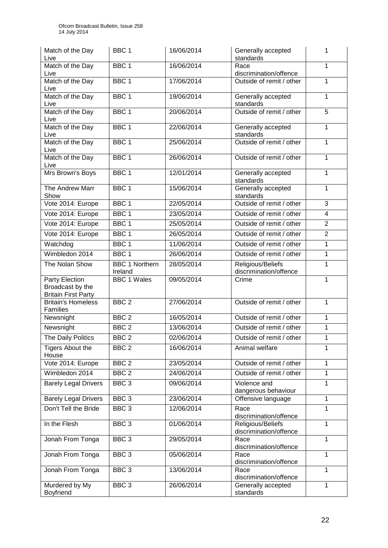| Match of the Day<br>Live                                            | BBC <sub>1</sub>      | 16/06/2014 | Generally accepted<br>standards                          | 1              |
|---------------------------------------------------------------------|-----------------------|------------|----------------------------------------------------------|----------------|
| Match of the Day<br>Live                                            | BBC <sub>1</sub>      | 16/06/2014 | Race<br>discrimination/offence                           | 1              |
| Match of the Day<br>Live                                            | BBC <sub>1</sub>      | 17/06/2014 | Outside of remit / other                                 | 1              |
| Match of the Day<br>Live                                            | BBC <sub>1</sub>      | 19/06/2014 | Generally accepted<br>standards                          | 1              |
| Match of the Day<br>Live                                            | BBC <sub>1</sub>      | 20/06/2014 | Outside of remit / other                                 | $\overline{5}$ |
| Match of the Day<br>Live                                            | BBC <sub>1</sub>      | 22/06/2014 | Generally accepted<br>standards                          | 1              |
| Match of the Day<br>Live                                            | BBC <sub>1</sub>      | 25/06/2014 | Outside of remit / other                                 | 1              |
| Match of the Day<br>Live                                            | BBC <sub>1</sub>      | 26/06/2014 | Outside of remit / other                                 | 1              |
| Mrs Brown's Boys                                                    | BBC <sub>1</sub>      | 12/01/2014 | Generally accepted<br>standards                          | $\mathbf{1}$   |
| The Andrew Marr<br>Show                                             | BBC <sub>1</sub>      | 15/06/2014 | Generally accepted<br>standards                          | 1              |
| Vote 2014: Europe                                                   | BBC 1                 | 22/05/2014 | Outside of remit / other                                 | 3              |
| Vote 2014: Europe                                                   | BBC <sub>1</sub>      | 23/05/2014 | Outside of remit / other                                 | $\overline{4}$ |
| Vote 2014: Europe                                                   | BBC 1                 | 25/05/2014 | Outside of remit / other                                 | $\overline{2}$ |
| Vote 2014: Europe                                                   | BBC <sub>1</sub>      | 26/05/2014 | Outside of remit / other                                 | $\overline{2}$ |
| Watchdog                                                            | BBC <sub>1</sub>      | 11/06/2014 | Outside of remit / other                                 | 1              |
| Wimbledon 2014                                                      | BBC <sub>1</sub>      | 26/06/2014 | Outside of remit / other                                 | 1              |
| The Nolan Show                                                      | <b>BBC 1 Northern</b> | 28/05/2014 | Religious/Beliefs                                        | 1              |
|                                                                     |                       |            |                                                          |                |
|                                                                     | Ireland               |            | discrimination/offence                                   |                |
| Party Election<br>Broadcast by the                                  | <b>BBC 1 Wales</b>    | 09/05/2014 | Crime                                                    | $\mathbf{1}$   |
| <b>Britain First Party</b><br><b>Britain's Homeless</b><br>Families | BBC <sub>2</sub>      | 27/06/2014 | Outside of remit / other                                 | $\mathbf{1}$   |
| Newsnight                                                           | BBC <sub>2</sub>      | 16/05/2014 | Outside of remit / other                                 | 1              |
| Newsnight                                                           | BBC <sub>2</sub>      | 13/06/2014 | Outside of remit / other                                 | 1              |
|                                                                     | BBC <sub>2</sub>      | 02/06/2014 | Outside of remit / other                                 | $\mathbf{1}$   |
| The Daily Politics<br>Tigers About the<br>House                     | BBC <sub>2</sub>      | 16/06/2014 | Animal welfare                                           | 1              |
| Vote 2014: Europe                                                   | BBC <sub>2</sub>      | 23/05/2014 | Outside of remit / other                                 | 1              |
| Wimbledon 2014                                                      | BBC <sub>2</sub>      | 24/06/2014 | Outside of remit / other                                 | 1              |
| <b>Barely Legal Drivers</b>                                         | BBC <sub>3</sub>      | 09/06/2014 | Violence and                                             | 1              |
| <b>Barely Legal Drivers</b>                                         | BBC <sub>3</sub>      | 23/06/2014 | dangerous behaviour<br>Offensive language                | 1              |
| Don't Tell the Bride                                                | BBC <sub>3</sub>      | 12/06/2014 | Race                                                     | 1              |
| In the Flesh                                                        | BBC <sub>3</sub>      | 01/06/2014 | discrimination/offence<br>Religious/Beliefs              | $\mathbf{1}$   |
| Jonah From Tonga                                                    | BBC <sub>3</sub>      | 29/05/2014 | discrimination/offence<br>Race<br>discrimination/offence | 1              |
| Jonah From Tonga                                                    | BBC <sub>3</sub>      | 05/06/2014 | Race<br>discrimination/offence                           | 1              |
| Jonah From Tonga                                                    | BBC <sub>3</sub>      | 13/06/2014 | Race<br>discrimination/offence                           | 1              |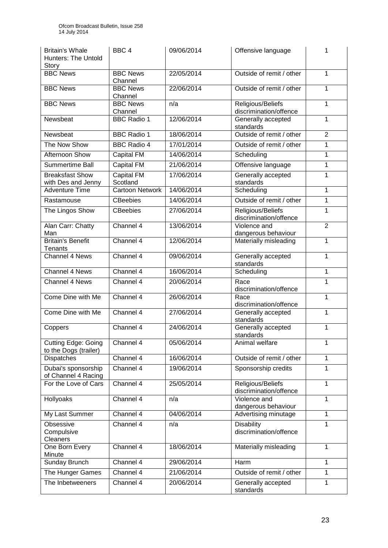| <b>Britain's Whale</b><br><b>Hunters: The Untold</b><br>Story | BBC <sub>4</sub>              | 09/06/2014 | Offensive language                          | 1              |
|---------------------------------------------------------------|-------------------------------|------------|---------------------------------------------|----------------|
| <b>BBC News</b>                                               | <b>BBC News</b><br>Channel    | 22/05/2014 | Outside of remit / other                    | $\mathbf{1}$   |
| <b>BBC News</b>                                               | <b>BBC News</b><br>Channel    | 22/06/2014 | Outside of remit / other                    | 1              |
| <b>BBC News</b>                                               | <b>BBC News</b><br>Channel    | n/a        | Religious/Beliefs<br>discrimination/offence | 1              |
| Newsbeat                                                      | <b>BBC Radio 1</b>            | 12/06/2014 | Generally accepted<br>standards             | 1              |
| Newsbeat                                                      | <b>BBC Radio 1</b>            | 18/06/2014 | Outside of remit / other                    | $\overline{2}$ |
| The Now Show                                                  | <b>BBC Radio 4</b>            | 17/01/2014 | Outside of remit / other                    | 1              |
| Afternoon Show                                                | <b>Capital FM</b>             | 14/06/2014 | Scheduling                                  | 1              |
| Summertime Ball                                               | Capital FM                    | 21/06/2014 | Offensive language                          | 1              |
| <b>Breaksfast Show</b><br>with Des and Jenny                  | <b>Capital FM</b><br>Scotland | 17/06/2014 | Generally accepted<br>standards             | $\mathbf{1}$   |
| Adventure Time                                                | <b>Cartoon Network</b>        | 14/06/2014 | Scheduling                                  | 1              |
| Rastamouse                                                    | <b>CBeebies</b>               | 14/06/2014 | Outside of remit / other                    | 1              |
| The Lingos Show                                               | <b>CBeebies</b>               | 27/06/2014 | Religious/Beliefs<br>discrimination/offence | 1              |
| Alan Carr: Chatty<br>Man                                      | Channel 4                     | 13/06/2014 | Violence and<br>dangerous behaviour         | $\overline{2}$ |
| <b>Britain's Benefit</b><br>Tenants                           | Channel 4                     | 12/06/2014 | Materially misleading                       | 1              |
| Channel 4 News                                                | Channel 4                     | 09/06/2014 | Generally accepted<br>standards             | 1              |
| Channel 4 News                                                | Channel 4                     | 16/06/2014 | Scheduling                                  | 1              |
| Channel 4 News                                                | Channel 4                     | 20/06/2014 | Race<br>discrimination/offence              | 1              |
| Come Dine with Me                                             | Channel 4                     | 26/06/2014 | Race<br>discrimination/offence              | 1              |
| Come Dine with Me                                             | Channel 4                     | 27/06/2014 | Generally accepted<br>standards             | 1              |
| Coppers                                                       | Channel 4                     | 24/06/2014 | Generally accepted<br>standards             | 1              |
| <b>Cutting Edge: Going</b><br>to the Dogs (trailer)           | Channel 4                     | 05/06/2014 | Animal welfare                              | 1              |
| Dispatches                                                    | Channel 4                     | 16/06/2014 | Outside of remit / other                    | 1              |
| Dubai's sponsorship<br>of Channel 4 Racing                    | Channel 4                     | 19/06/2014 | Sponsorship credits                         | 1              |
| For the Love of Cars                                          | Channel 4                     | 25/05/2014 | Religious/Beliefs<br>discrimination/offence | 1              |
| <b>Hollyoaks</b>                                              | Channel 4                     | n/a        | Violence and<br>dangerous behaviour         | 1              |
| My Last Summer                                                | Channel 4                     | 04/06/2014 | Advertising minutage                        | 1              |
| Obsessive<br>Compulsive<br>Cleaners                           | Channel 4                     | n/a        | <b>Disability</b><br>discrimination/offence | 1              |
| One Born Every<br>Minute                                      | Channel 4                     | 18/06/2014 | Materially misleading                       | 1              |
| Sunday Brunch                                                 | Channel 4                     | 29/06/2014 | Harm                                        | 1              |
| The Hunger Games                                              | Channel 4                     | 21/06/2014 | Outside of remit / other                    | 1              |
| The Inbetweeners                                              | Channel 4                     | 20/06/2014 | Generally accepted<br>standards             | 1              |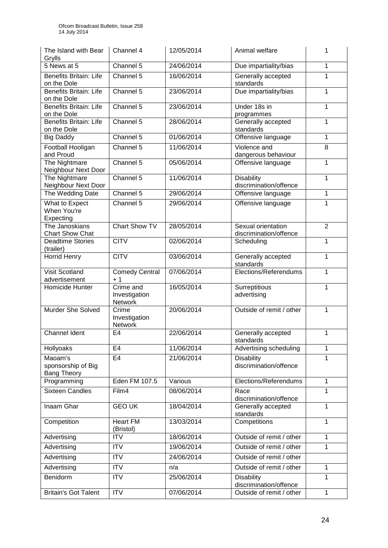| The Island with Bear<br>Grylls                      | Channel 4                                    | 12/05/2014 | Animal welfare                               | 1              |
|-----------------------------------------------------|----------------------------------------------|------------|----------------------------------------------|----------------|
| 5 News at 5                                         | Channel 5                                    | 24/06/2014 | Due impartiality/bias                        | $\mathbf{1}$   |
| <b>Benefits Britain: Life</b><br>on the Dole        | Channel 5                                    | 16/06/2014 | Generally accepted<br>standards              | 1              |
| <b>Benefits Britain: Life</b><br>on the Dole        | Channel 5                                    | 23/06/2014 | Due impartiality/bias                        | $\mathbf{1}$   |
| <b>Benefits Britain: Life</b><br>on the Dole        | Channel 5                                    | 23/06/2014 | Under 18s in<br>programmes                   | 1              |
| <b>Benefits Britain: Life</b><br>on the Dole        | Channel 5                                    | 28/06/2014 | Generally accepted<br>standards              | 1              |
| <b>Big Daddy</b>                                    | Channel 5                                    | 01/06/2014 | Offensive language                           | 1              |
| Football Hooligan<br>and Proud                      | Channel 5                                    | 11/06/2014 | Violence and<br>dangerous behaviour          | 8              |
| The Nightmare<br>Neighbour Next Door                | Channel 5                                    | 05/06/2014 | Offensive language                           | 1              |
| The Nightmare<br>Neighbour Next Door                | Channel 5                                    | 11/06/2014 | <b>Disability</b><br>discrimination/offence  | 1              |
| The Wedding Date                                    | Channel 5                                    | 29/06/2014 | Offensive language                           | $\mathbf{1}$   |
| What to Expect<br>When You're<br>Expecting          | Channel 5                                    | 29/06/2014 | Offensive language                           | 1              |
| The Janoskians<br><b>Chart Show Chat</b>            | Chart Show TV                                | 28/05/2014 | Sexual orientation<br>discrimination/offence | $\overline{2}$ |
| <b>Deadtime Stories</b><br>(trailer)                | <b>CITV</b>                                  | 02/06/2014 | Scheduling                                   | 1              |
| <b>Horrid Henry</b>                                 | <b>CITV</b>                                  | 03/06/2014 | Generally accepted<br>standards              | $\mathbf{1}$   |
| <b>Visit Scotland</b><br>advertisement              | <b>Comedy Central</b><br>$+1$                | 07/06/2014 | Elections/Referendums                        | 1              |
| Homicide Hunter                                     | Crime and<br>Investigation<br><b>Network</b> | 16/05/2014 | Surreptitious<br>advertising                 | 1              |
| Murder She Solved                                   | Crime<br>Investigation<br>Network            | 20/06/2014 | Outside of remit / other                     | $\mathbf{1}$   |
| Channel Ident                                       | E4                                           | 22/06/2014 | Generally accepted<br>standards              | 1              |
| Hollyoaks                                           | E <sub>4</sub>                               | 11/06/2014 | Advertising scheduling                       | 1              |
| Maoam's<br>sponsorship of Big<br><b>Bang Theory</b> | E <sub>4</sub>                               | 21/06/2014 | <b>Disability</b><br>discrimination/offence  | 1              |
| Programming                                         | Eden FM 107.5                                | Various    | Elections/Referendums                        | $\mathbf{1}$   |
| <b>Sixteen Candles</b>                              | Film4                                        | 08/06/2014 | Race<br>discrimination/offence               | 1              |
| Inaam Ghar                                          | <b>GEO UK</b>                                | 18/04/2014 | Generally accepted<br>standards              | $\mathbf{1}$   |
| Competition                                         | <b>Heart FM</b><br>(Bristol)                 | 13/03/2014 | Competitions                                 | $\mathbf{1}$   |
| Advertising                                         | <b>ITV</b>                                   | 18/06/2014 | Outside of remit / other                     | 1              |
| Advertising                                         | <b>ITV</b>                                   | 19/06/2014 | Outside of remit / other                     | 1              |
| Advertising                                         | <b>ITV</b>                                   | 24/06/2014 | Outside of remit / other                     |                |
| Advertising                                         | <b>ITV</b>                                   | n/a        | Outside of remit / other                     | 1              |
| Benidorm                                            | <b>ITV</b>                                   | 25/06/2014 | <b>Disability</b><br>discrimination/offence  | 1              |
| <b>Britain's Got Talent</b>                         | ITV                                          | 07/06/2014 | Outside of remit / other                     | $\mathbf{1}$   |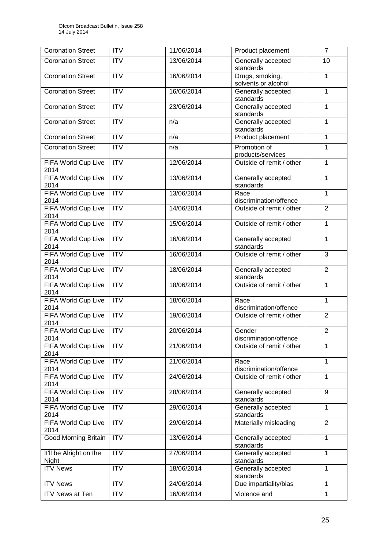| <b>Coronation Street</b>           | <b>ITV</b>       | 11/06/2014 | Product placement                      | $\overline{7}$ |
|------------------------------------|------------------|------------|----------------------------------------|----------------|
| <b>Coronation Street</b>           | <b>ITV</b>       | 13/06/2014 | Generally accepted<br>standards        | 10             |
| <b>Coronation Street</b>           | $\overline{IV}$  | 16/06/2014 | Drugs, smoking,<br>solvents or alcohol | 1              |
| <b>Coronation Street</b>           | <b>ITV</b>       | 16/06/2014 | Generally accepted<br>standards        | $\mathbf{1}$   |
| <b>Coronation Street</b>           | <b>ITV</b>       | 23/06/2014 | Generally accepted<br>standards        | 1              |
| <b>Coronation Street</b>           | <b>ITV</b>       | n/a        | Generally accepted<br>standards        | 1              |
| <b>Coronation Street</b>           | $\overline{IV}$  | n/a        | Product placement                      | $\mathbf{1}$   |
| <b>Coronation Street</b>           | <b>ITV</b>       | n/a        | Promotion of<br>products/services      | $\mathbf{1}$   |
| FIFA World Cup Live<br>2014        | <b>ITV</b>       | 12/06/2014 | Outside of remit / other               | $\mathbf{1}$   |
| FIFA World Cup Live<br>2014        | ITV              | 13/06/2014 | Generally accepted<br>standards        | $\mathbf{1}$   |
| FIFA World Cup Live<br>2014        | ITV              | 13/06/2014 | Race<br>discrimination/offence         | 1              |
| FIFA World Cup Live<br>2014        | ITV              | 14/06/2014 | Outside of remit / other               | $\overline{2}$ |
| FIFA World Cup Live<br>2014        | ITV              | 15/06/2014 | Outside of remit / other               | $\mathbf{1}$   |
| <b>FIFA World Cup Live</b><br>2014 | ITV              | 16/06/2014 | Generally accepted<br>standards        | $\mathbf{1}$   |
| FIFA World Cup Live<br>2014        | ITV              | 16/06/2014 | Outside of remit / other               | $\overline{3}$ |
| FIFA World Cup Live<br>2014        | <b>ITV</b>       | 18/06/2014 | Generally accepted<br>standards        | $\overline{2}$ |
| FIFA World Cup Live<br>2014        | ITV              | 18/06/2014 | Outside of remit / other               | $\mathbf{1}$   |
| FIFA World Cup Live<br>2014        | <b>ITV</b>       | 18/06/2014 | Race<br>discrimination/offence         | $\mathbf{1}$   |
| FIFA World Cup Live<br>2014        | ITV              | 19/06/2014 | Outside of remit / other               | $\overline{2}$ |
| FIFA World Cup Live<br>2014        | $\overline{ITV}$ | 20/06/2014 | Gender<br>discrimination/offence       | $\overline{2}$ |
| FIFA World Cup Live<br>2014        | <b>ITV</b>       | 21/06/2014 | Outside of remit / other               | 1              |
| FIFA World Cup Live<br>2014        | <b>ITV</b>       | 21/06/2014 | Race<br>discrimination/offence         | $\mathbf{1}$   |
| FIFA World Cup Live<br>2014        | <b>ITV</b>       | 24/06/2014 | Outside of remit / other               | $\mathbf{1}$   |
| <b>FIFA World Cup Live</b><br>2014 | <b>ITV</b>       | 28/06/2014 | Generally accepted<br>standards        | 9              |
| FIFA World Cup Live<br>2014        | <b>ITV</b>       | 29/06/2014 | Generally accepted<br>standards        | 1              |
| FIFA World Cup Live<br>2014        | ITV              | 29/06/2014 | Materially misleading                  | $\overline{2}$ |
| <b>Good Morning Britain</b>        | <b>ITV</b>       | 13/06/2014 | Generally accepted<br>standards        | $\mathbf{1}$   |
| It'll be Alright on the<br>Night   | <b>ITV</b>       | 27/06/2014 | Generally accepted<br>standards        | $\mathbf{1}$   |
| <b>ITV News</b>                    | <b>ITV</b>       | 18/06/2014 | Generally accepted<br>standards        | $\mathbf{1}$   |
| <b>ITV News</b>                    | <b>ITV</b>       | 24/06/2014 | Due impartiality/bias                  | 1              |
| ITV News at Ten                    | <b>ITV</b>       | 16/06/2014 | Violence and                           | $\mathbf{1}$   |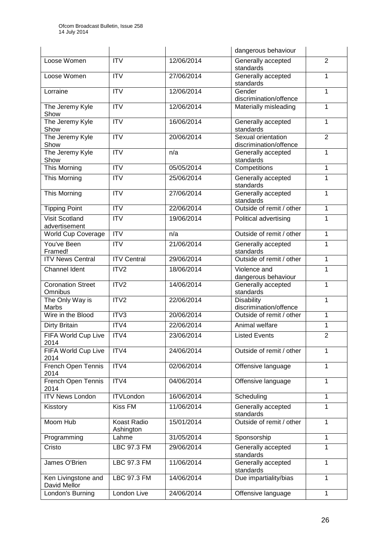|                                        |                          |            | dangerous behaviour                          |                |
|----------------------------------------|--------------------------|------------|----------------------------------------------|----------------|
| Loose Women                            | <b>ITV</b>               | 12/06/2014 | Generally accepted<br>standards              | $\overline{2}$ |
| Loose Women                            | $\overline{ITV}$         | 27/06/2014 | Generally accepted<br>standards              | 1              |
| Lorraine                               | <b>ITV</b>               | 12/06/2014 | Gender<br>discrimination/offence             | $\mathbf{1}$   |
| The Jeremy Kyle<br>Show                | <b>ITV</b>               | 12/06/2014 | Materially misleading                        | $\mathbf{1}$   |
| The Jeremy Kyle<br>Show                | <b>ITV</b>               | 16/06/2014 | Generally accepted<br>standards              | $\mathbf{1}$   |
| The Jeremy Kyle<br>Show                | $\overline{\text{IV}}$   | 20/06/2014 | Sexual orientation<br>discrimination/offence | $\overline{2}$ |
| The Jeremy Kyle<br>Show                | $\overline{\text{IV}}$   | n/a        | Generally accepted<br>standards              | 1              |
| <b>This Morning</b>                    | <b>ITV</b>               | 05/05/2014 | Competitions                                 | 1              |
| This Morning                           | <b>ITV</b>               | 25/06/2014 | Generally accepted<br>standards              | $\mathbf{1}$   |
| This Morning                           | <b>ITV</b>               | 27/06/2014 | Generally accepted<br>standards              | 1              |
| <b>Tipping Point</b>                   | ITV                      | 22/06/2014 | Outside of remit / other                     | 1              |
| <b>Visit Scotland</b><br>advertisement | <b>ITV</b>               | 19/06/2014 | Political advertising                        | 1              |
| World Cup Coverage                     | $\overline{IV}$          | n/a        | Outside of remit / other                     | $\mathbf{1}$   |
| You've Been<br>Framed!                 | <b>ITV</b>               | 21/06/2014 | Generally accepted<br>standards              | 1              |
| <b>ITV News Central</b>                | <b>ITV Central</b>       | 29/06/2014 | Outside of remit / other                     | 1              |
| Channel Ident                          | ITV <sub>2</sub>         | 18/06/2014 | Violence and                                 | 1              |
|                                        |                          |            | dangerous behaviour                          |                |
| <b>Coronation Street</b><br>Omnibus    | ITV <sub>2</sub>         | 14/06/2014 | Generally accepted<br>standards              | $\mathbf{1}$   |
| The Only Way is<br>Marbs               | ITV2                     | 22/06/2014 | <b>Disability</b><br>discrimination/offence  | 1              |
| Wire in the Blood                      | ITV3                     | 20/06/2014 | Outside of remit / other                     | 1              |
| Dirty Britain                          | ITV4                     | 22/06/2014 | Animal welfare                               | 1              |
| FIFA World Cup Live<br>2014            | ITV4                     | 23/06/2014 | <b>Listed Events</b>                         | $\overline{2}$ |
| FIFA World Cup Live<br>2014            | ITV4                     | 24/06/2014 | Outside of remit / other                     | 1              |
| French Open Tennis<br>2014             | ITV4                     | 02/06/2014 | Offensive language                           | 1              |
| French Open Tennis<br>2014             | ITV4                     | 04/06/2014 | Offensive language                           | $\mathbf{1}$   |
| <b>ITV News London</b>                 | <b>ITVLondon</b>         | 16/06/2014 | Scheduling                                   | 1              |
| Kisstory                               | Kiss FM                  | 11/06/2014 | Generally accepted<br>standards              | $\mathbf{1}$   |
| Moom Hub                               | Koast Radio<br>Ashington | 15/01/2014 | Outside of remit / other                     | 1              |
| Programming                            | Lahme                    | 31/05/2014 | Sponsorship                                  | $\mathbf{1}$   |
| Cristo                                 | <b>LBC 97.3 FM</b>       | 29/06/2014 | Generally accepted<br>standards              | 1              |
| James O'Brien                          | LBC 97.3 FM              | 11/06/2014 | Generally accepted<br>standards              | 1              |
| Ken Livingstone and<br>David Mellor    | <b>LBC 97.3 FM</b>       | 14/06/2014 | Due impartiality/bias                        | $\mathbf{1}$   |
| London's Burning                       | London Live              | 24/06/2014 | Offensive language                           | $\mathbf{1}$   |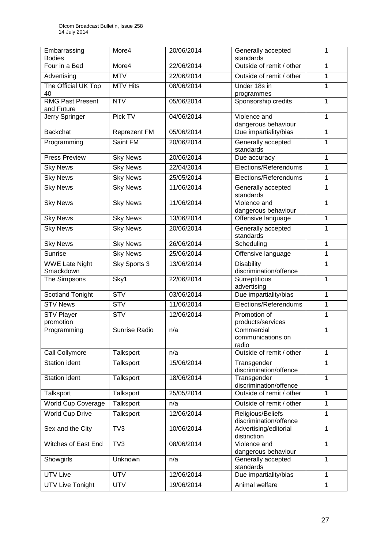| Embarrassing<br><b>Bodies</b>         | More4                   | 20/06/2014 | Generally accepted<br>standards             | 1 |
|---------------------------------------|-------------------------|------------|---------------------------------------------|---|
| Four in a Bed                         | More4                   | 22/06/2014 | Outside of remit / other                    | 1 |
| Advertising                           | <b>MTV</b>              | 22/06/2014 | Outside of remit / other                    | 1 |
| The Official UK Top<br>40             | <b>MTV Hits</b>         | 08/06/2014 | Under 18s in<br>programmes                  | 1 |
| <b>RMG Past Present</b><br>and Future | <b>NTV</b>              | 05/06/2014 | Sponsorship credits                         | 1 |
| Jerry Springer                        | Pick TV                 | 04/06/2014 | Violence and<br>dangerous behaviour         | 1 |
| <b>Backchat</b>                       | Reprezent FM            | 05/06/2014 | Due impartiality/bias                       | 1 |
| Programming                           | Saint FM                | 20/06/2014 | Generally accepted<br>standards             | 1 |
| <b>Press Preview</b>                  | <b>Sky News</b>         | 20/06/2014 | Due accuracy                                | 1 |
| <b>Sky News</b>                       | <b>Sky News</b>         | 22/04/2014 | Elections/Referendums                       | 1 |
| <b>Sky News</b>                       | <b>Sky News</b>         | 25/05/2014 | Elections/Referendums                       | 1 |
| <b>Sky News</b>                       | <b>Sky News</b>         | 11/06/2014 | Generally accepted<br>standards             | 1 |
| <b>Sky News</b>                       | <b>Sky News</b>         | 11/06/2014 | Violence and<br>dangerous behaviour         | 1 |
| <b>Sky News</b>                       | <b>Sky News</b>         | 13/06/2014 | Offensive language                          | 1 |
| <b>Sky News</b>                       | <b>Sky News</b>         | 20/06/2014 | Generally accepted<br>standards             | 1 |
| <b>Sky News</b>                       | <b>Sky News</b>         | 26/06/2014 | Scheduling                                  | 1 |
| Sunrise                               | <b>Sky News</b>         | 25/06/2014 | Offensive language                          | 1 |
| <b>WWE Late Night</b><br>Smackdown    | Sky Sports 3            | 13/06/2014 | <b>Disability</b><br>discrimination/offence | 1 |
| The Simpsons                          | Sky1                    | 22/06/2014 | Surreptitious<br>advertising                | 1 |
| <b>Scotland Tonight</b>               | STV                     | 03/06/2014 | Due impartiality/bias                       | 1 |
| <b>STV News</b>                       | $\overline{\text{STV}}$ | 11/06/2014 | Elections/Referendums                       | 1 |
| <b>STV Player</b><br>promotion        | <b>STV</b>              | 12/06/2014 | Promotion of<br>products/services           | 1 |
| Programming                           | Sunrise Radio           | n/a        | Commercial<br>communications on<br>radio    | 1 |
| Call Collymore                        | Talksport               | n/a        | Outside of remit / other                    | 1 |
| Station ident                         | Talksport               | 15/06/2014 | Transgender<br>discrimination/offence       | 1 |
| <b>Station ident</b>                  | Talksport               | 18/06/2014 | Transgender<br>discrimination/offence       | 1 |
| Talksport                             | Talksport               | 25/05/2014 | Outside of remit / other                    | 1 |
| World Cup Coverage                    | Talksport               | n/a        | Outside of remit / other                    | 1 |
| <b>World Cup Drive</b>                | Talksport               | 12/06/2014 | Religious/Beliefs<br>discrimination/offence | 1 |
| Sex and the City                      | TV3                     | 10/06/2014 | Advertising/editorial<br>distinction        | 1 |
| Witches of East End                   | TV3                     | 08/06/2014 | Violence and<br>dangerous behaviour         | 1 |
| Showgirls                             | Unknown                 | n/a        | Generally accepted<br>standards             | 1 |
| <b>UTV Live</b>                       | <b>UTV</b>              | 12/06/2014 | Due impartiality/bias                       | 1 |
| <b>UTV Live Tonight</b>               | <b>UTV</b>              | 19/06/2014 | Animal welfare                              | 1 |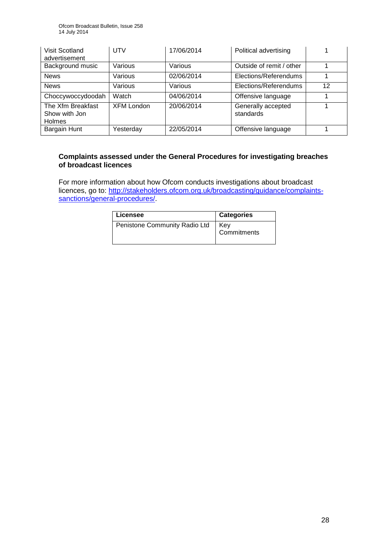| Visit Scotland<br>advertisement                     | <b>UTV</b>        | 17/06/2014 | Political advertising           |    |
|-----------------------------------------------------|-------------------|------------|---------------------------------|----|
| Background music                                    | Various           | Various    | Outside of remit / other        |    |
| <b>News</b>                                         | Various           | 02/06/2014 | Elections/Referendums           |    |
| <b>News</b>                                         | Various           | Various    | Elections/Referendums           | 12 |
| Choccywoccydoodah                                   | Watch             | 04/06/2014 | Offensive language              |    |
| The Xfm Breakfast<br>Show with Jon<br><b>Holmes</b> | <b>XFM London</b> | 20/06/2014 | Generally accepted<br>standards |    |
| Bargain Hunt                                        | Yesterday         | 22/05/2014 | Offensive language              |    |

## **Complaints assessed under the General Procedures for investigating breaches of broadcast licences**

For more information about how Ofcom conducts investigations about broadcast licences, go to: [http://stakeholders.ofcom.org.uk/broadcasting/guidance/complaints](http://stakeholders.ofcom.org.uk/broadcasting/guidance/complaints-sanctions/general-procedures/)[sanctions/general-procedures/.](http://stakeholders.ofcom.org.uk/broadcasting/guidance/complaints-sanctions/general-procedures/)

| Licensee                      | <b>Categories</b>  |
|-------------------------------|--------------------|
| Penistone Community Radio Ltd | Key<br>Commitments |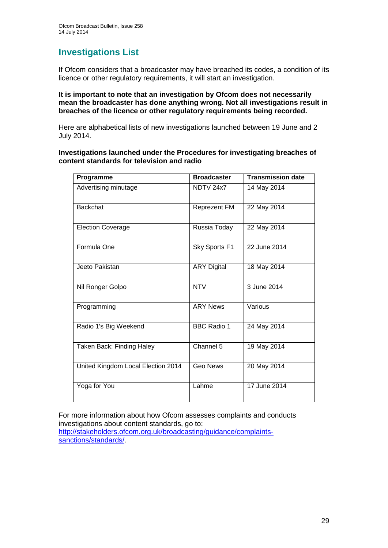## **Investigations List**

If Ofcom considers that a broadcaster may have breached its codes, a condition of its licence or other regulatory requirements, it will start an investigation.

#### **It is important to note that an investigation by Ofcom does not necessarily mean the broadcaster has done anything wrong. Not all investigations result in breaches of the licence or other regulatory requirements being recorded.**

Here are alphabetical lists of new investigations launched between 19 June and 2 July 2014.

#### **Investigations launched under the Procedures for investigating breaches of content standards for television and radio**

| Programme                          | <b>Broadcaster</b>  | <b>Transmission date</b> |
|------------------------------------|---------------------|--------------------------|
| Advertising minutage               | NDTV 24x7           | 14 May 2014              |
| <b>Backchat</b>                    | <b>Reprezent FM</b> | 22 May 2014              |
| <b>Election Coverage</b>           | Russia Today        | 22 May 2014              |
| Formula One                        | Sky Sports F1       | 22 June 2014             |
| Jeeto Pakistan                     | <b>ARY Digital</b>  | 18 May 2014              |
| Nil Ronger Golpo                   | <b>NTV</b>          | 3 June 2014              |
| Programming                        | <b>ARY News</b>     | Various                  |
| Radio 1's Big Weekend              | <b>BBC Radio 1</b>  | 24 May 2014              |
| Taken Back: Finding Haley          | Channel 5           | 19 May 2014              |
| United Kingdom Local Election 2014 | Geo News            | 20 May 2014              |
| Yoga for You                       | Lahme               | 17 June 2014             |

For more information about how Ofcom assesses complaints and conducts investigations about content standards, go to: [http://stakeholders.ofcom.org.uk/broadcasting/guidance/complaints](http://stakeholders.ofcom.org.uk/broadcasting/guidance/complaints-sanctions/standards/)sanctions/standards/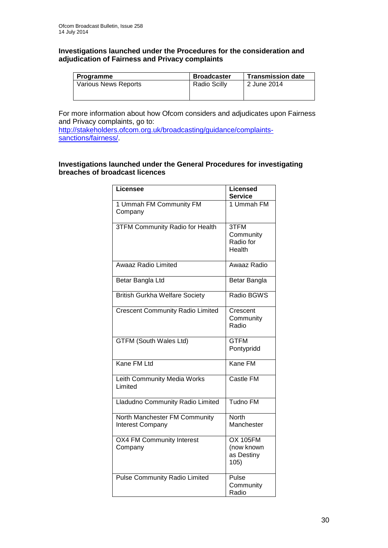#### **Investigations launched under the Procedures for the consideration and adjudication of Fairness and Privacy complaints**

| Programme                   | <b>Broadcaster</b>  | <b>Transmission date</b> |
|-----------------------------|---------------------|--------------------------|
| <b>Various News Reports</b> | <b>Radio Scilly</b> | 2 June 2014              |
|                             |                     |                          |

For more information about how Ofcom considers and adjudicates upon Fairness and Privacy complaints, go to:

[http://stakeholders.ofcom.org.uk/broadcasting/guidance/complaints](http://stakeholders.ofcom.org.uk/broadcasting/guidance/complaints-sanctions/fairness/)[sanctions/fairness/.](http://stakeholders.ofcom.org.uk/broadcasting/guidance/complaints-sanctions/fairness/)

## **Investigations launched under the General Procedures for investigating breaches of broadcast licences**

| Licensee                                                 | <b>Licensed</b><br><b>Service</b>                   |
|----------------------------------------------------------|-----------------------------------------------------|
| 1 Ummah FM Community FM<br>Company                       | 1 Ummah FM                                          |
| <b>3TFM Community Radio for Health</b>                   | 3TFM<br>Community<br>Radio for<br>Health            |
| <b>Awaaz Radio Limited</b>                               | Awaaz Radio                                         |
| Betar Bangla Ltd                                         | Betar Bangla                                        |
| <b>British Gurkha Welfare Society</b>                    | Radio BGWS                                          |
| <b>Crescent Community Radio Limited</b>                  | Crescent<br>Community<br>Radio                      |
| <b>GTFM (South Wales Ltd)</b>                            | <b>GTFM</b><br>Pontypridd                           |
| Kane FM Ltd                                              | Kane FM                                             |
| Leith Community Media Works<br>Limited                   | Castle FM                                           |
| Lladudno Community Radio Limited                         | Tudno FM                                            |
| North Manchester FM Community<br><b>Interest Company</b> | North<br>Manchester                                 |
| OX4 FM Community Interest<br>Company                     | <b>OX 105FM</b><br>(now known<br>as Destiny<br>105) |
| <b>Pulse Community Radio Limited</b>                     | Pulse<br>Community<br>Radio                         |